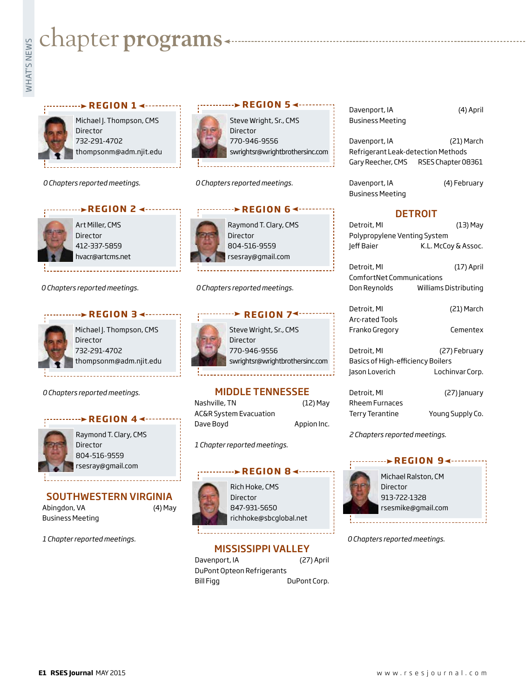# **Example programs**<br>Example:<br>Fig. 1



Michael J. Thompson, CMS Director 732-291-4702 thompsonm@adm.njit.edu

*0 Chapters reported meetings.*



Art Miller, CMS Director 412-337-5859

hvacr@artcms.net

*0 Chapters reported meetings.*





Michael J. Thompson, CMS Director 732-291-4702 thompsonm@adm.njit.edu

*0 Chapters reported meetings.*





Raymond T. Clary, CMS Director 804-516-9559 rsesray@gmail.com

#### SOUTHWESTERN VIRGINIA

Abingdon, VA (4) May Business Meeting

*1 Chapter reported meetings.*



Steve Wright, Sr., CMS Director 770-946-9556 swrightsr@wrightbrothersinc.com

**EXAMPLE REGION 5** 

*0 Chapters reported meetings.*



*0 Chapters reported meetings.*



#### MIDDLE TENNESSEE

Nashville, TN (12) May AC&R System Evacuation Dave Boyd **Appion Inc.** 

*1 Chapter reported meetings.*

#### PREGION 8 <---------

Rich Hoke, CMS Director 847-931-5650 richhoke@sbcglobal.net

#### MISSISSIPPI VALLEY

Davenport, IA (27) April DuPont Opteon Refrigerants Bill Figg DuPont Corp. Davenport, IA (4) April Business Meeting

Davenport, IA (21) March Refrigerant Leak-detection Methods Gary Reecher, CMS RSES Chapter 08361

Davenport, IA (4) February Business Meeting

#### DETROIT

Detroit, MI (13) May Polypropylene Venting System Jeff Baier K.L. McCoy & Assoc.

Detroit, MI (17) April ComfortNet Communications Don Reynolds Williams Distributing

Detroit, MI (21) March Arc-rated Tools Franko Gregory Cementex

Detroit, MI (27) February Basics of High-efficiency Boilers Jason Loverich Lochinvar Corp.

Detroit, MI (27) January Rheem Furnaces Terry Terantine Young Supply Co.

*2 Chapters reported meetings.*

## **REGION 9∢---------**



Michael Ralston, CM Director 913-722-1328 rsesmike@gmail.com

*0 Chapters reported meetings.*